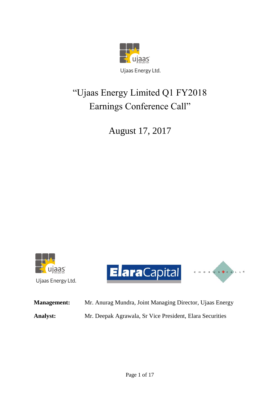

## "Ujaas Energy Limited Q1 FY2018 Earnings Conference Call"

August 17, 2017



Ujaas Energy Ltd.

ElaraCapital Charles Academy



**Management:** Mr. Anurag Mundra, Joint Managing Director, Ujaas Energy **Analyst:** Mr. Deepak Agrawala, Sr Vice President, Elara Securities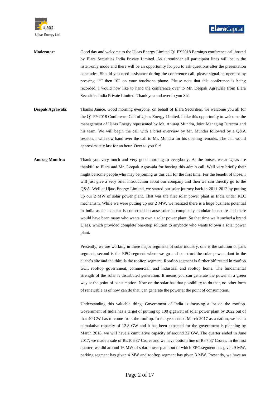

- **Moderator:** Good day and welcome to the Ujaas Energy Limited Q1 FY2018 Earnings conference call hosted by Elara Securities India Private Limited. As a reminder all participant lines will be in the listen-only mode and there will be an opportunity for you to ask questions after the presentation concludes. Should you need assistance during the conference call, please signal an operator by pressing "\*" then "0" on your touchtone phone. Please note that this conference is being recorded. I would now like to hand the conference over to Mr. Deepak Agrawala from Elara Securities India Private Limited. Thank you and over to you Sir!
- **Deepak Agrawala:** Thanks Janice. Good morning everyone, on behalf of Elara Securities, we welcome you all for the Q1 FY2018 Conference Call of Ujaas Energy Limited. I take this opportunity to welcome the management of Ujaas Energy represented by Mr. Anurag Mundra, Joint Managing Director and his team. We will begin the call with a brief overview by Mr. Mundra followed by a Q&A session. I will now hand over the call to Mr. Mundra for his opening remarks. The call would approximately last for an hour. Over to you Sir!
- **Anurag Mundra:** Thank you very much and very good morning to everybody. At the outset, we at Ujaas are thankful to Elara and Mr. Deepak Agrawala for hosting this admin call. Well very briefly their might be some people who may be joining us this call for the first time. For the benefit of those, I will just give a very brief introduction about our company and then we can directly go to the Q&A. Well at Ujaas Energy Limited, we started our solar journey back in 2011-2012 by putting up our 2 MW of solar power plant. That was the first solar power plant in India under REC mechanism. While we were putting up our 2 MW, we realized there is a huge business potential in India as far as solar is concerned because solar is completely modular in nature and there would have been many who wants to own a solar power plant. So that time we launched a brand Ujaas, which provided complete one-stop solution to anybody who wants to own a solar power plant.

Presently, we are working in three major segments of solar industry, one is the solution or park segment, second is the EPC segment where we go and construct the solar power plant in the client's site and the third is the rooftop segment. Rooftop segment is further bifurcated in rooftop GCI, rooftop government, commercial, and industrial and rooftop home. The fundamental strength of the solar is distributed generation. It means you can generate the power in a green way at the point of consumption. Now on the solar has that possibility to do that, no other form of renewable as of now can do that, can generate the power at the point of consumption.

Understanding this valuable thing, Government of India is focusing a lot on the rooftop. Government of India has a target of putting up 100 gigawatt of solar power plant by 2022 out of that 40 GW has to come from the rooftop. In the year ended March 2017 as a nation, we had a cumulative capacity of 12.8 GW and it has been expected for the government is planning by March 2018, we will have a cumulative capacity of around 32 GW. The quarter ended in June 2017, we made a sale of Rs.106.87 Crores and we have bottom line of Rs.7.37 Crores. In the first quarter, we did around 16 MW of solar power plant out of which EPC segment has given 9 MW, parking segment has given 4 MW and rooftop segment has given 3 MW. Presently, we have an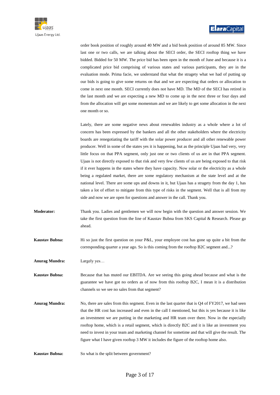

order book position of roughly around 40 MW and a bid book position of around 85 MW. Since last one or two calls, we are talking about the SECI order, the SECI rooftop thing we have bidded. Bidded for 50 MW. The price bid has been open in the month of June and because it is a complicated price bid comprising of various states and various participants, they are in the evaluation mode. Prima facie, we understand that what the stragety what we had of putting up our bids is going to give some returns on that and we are expecting that orders or allocation to come in next one month. SECI currently does not have MD. The MD of the SECI has retired in the last month and we are expecting a new MD to come up in the next three or four days and from the allocation will get some momentum and we are likely to get some allocation in the next one month or so.

Lately, there are some negative news about renewables industry as a whole where a lot of concern has been expressed by the bankers and all the other stakeholders where the electricity boards are renegotiating the tariff with the solar power producer and all other renewable power producer. Well in some of the states yes it is happening, but as the principle Ujaas had very, very little focus on that PPA segment, only just one or two clients of us are in that PPA segment. Ujaas is not directly exposed to that risk and very few clients of us are being exposed to that risk if it ever happens in the states where they have capacity. Now solar or the electricity as a whole being a regulated market, there are some regulatory mechanism at the state level and at the national level. There are some ups and downs in it, but Ujaas has a stragety from the day 1, has taken a lot of effort to mitigate from this type of risks in the segment. Well that is all from my side and now we are open for questions and answer in the call. Thank you.

- **Moderator:** Thank you. Ladies and gentlemen we will now begin with the question and answer session. We take the first question from the line of Kaustav Bubna from SKS Capital & Research. Please go ahead.
- **Kaustav Bubna:** Hi so just the first question on your P&L, your employee cost has gone up quite a bit from the corresponding quarter a year ago. So is this coming from the rooftop B2C segment and...?

**Anurag Mundra:** Largely yes…

- **Kaustav Bubna:** Because that has muted our EBITDA. Are we seeing this going ahead because and what is the guarantee we have got no orders as of now from this rooftop B2C, I mean it is a distribution channels so we see no sales from that segment?
- **Anurag Mundra:** No, there are sales from this segment. Even in the last quarter that is Q4 of FY2017, we had seen that the HR cost has increased and even in the call I mentioned, but this is yes because it is like an investment we are putting in the marketing and HR team over there. Now in the especially rooftop home, which is a retail segment, which is directly B2C and it is like an investment you need to invest in your team and marketing channel for sometime and that will give the result. The figure what I have given rooftop 3 MW it includes the figure of the rooftop home also.
- **Kaustav Bubna:** So what is the split between government?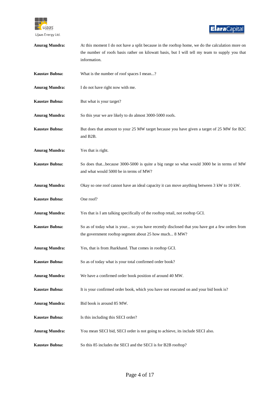

| <b>Anurag Mundra:</b> | At this moment I do not have a split because in the rooftop home, we do the calculation more on<br>the number of roofs basis rather on kilowatt basis, but I will tell my team to supply you that<br>information. |
|-----------------------|-------------------------------------------------------------------------------------------------------------------------------------------------------------------------------------------------------------------|
| <b>Kaustav Bubna:</b> | What is the number of roof spaces I mean?                                                                                                                                                                         |
| <b>Anurag Mundra:</b> | I do not have right now with me.                                                                                                                                                                                  |
| <b>Kaustav Bubna:</b> | But what is your target?                                                                                                                                                                                          |
| <b>Anurag Mundra:</b> | So this year we are likely to do almost 3000-5000 roofs.                                                                                                                                                          |
| <b>Kaustav Bubna:</b> | But does that amount to your 25 MW target because you have given a target of 25 MW for B2C<br>and B2B.                                                                                                            |
| <b>Anurag Mundra:</b> | Yes that is right.                                                                                                                                                                                                |
| <b>Kaustav Bubna:</b> | So does thatbecause 3000-5000 is quite a big range so what would 3000 be in terms of MW<br>and what would 5000 be in terms of MW?                                                                                 |
| <b>Anurag Mundra:</b> | Okay so one roof cannot have an ideal capacity it can move anything between 3 kW to 10 kW.                                                                                                                        |
| <b>Kaustav Bubna:</b> | One roof?                                                                                                                                                                                                         |
| <b>Anurag Mundra:</b> | Yes that is I am talking specifically of the rooftop retail, not rooftop GCI.                                                                                                                                     |
| <b>Kaustav Bubna:</b> | So as of today what is your so you have recently disclosed that you have got a few orders from<br>the government rooftop segment about 25 how much 8 MW?                                                          |
| <b>Anurag Mundra:</b> | Yes, that is from Jharkhand. That comes in rooftop GCI.                                                                                                                                                           |
| <b>Kaustav Bubna:</b> | So as of today what is your total confirmed order book?                                                                                                                                                           |
| <b>Anurag Mundra:</b> | We have a confirmed order book position of around 40 MW.                                                                                                                                                          |
| <b>Kaustav Bubna:</b> | It is your confirmed order book, which you have not executed on and your bid book is?                                                                                                                             |
| <b>Anurag Mundra:</b> | Bid book is around 85 MW.                                                                                                                                                                                         |
| <b>Kaustav Bubna:</b> | Is this including this SECI order?                                                                                                                                                                                |
| <b>Anurag Mundra:</b> | You mean SECI bid, SECI order is not going to achieve, its include SECI also.                                                                                                                                     |
| <b>Kaustav Bubna:</b> | So this 85 includes the SECI and the SECI is for B2B rooftop?                                                                                                                                                     |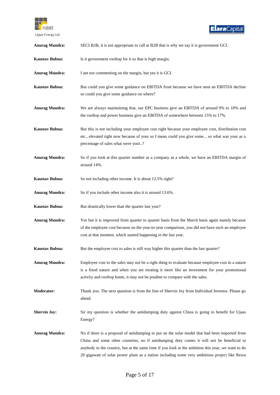

| <b>Anurag Mundra:</b> | SECI B2B, it is not appropriate to call at B2B that is why we say it is government GCI.                                                                                                                                                                                                                                                                                                          |
|-----------------------|--------------------------------------------------------------------------------------------------------------------------------------------------------------------------------------------------------------------------------------------------------------------------------------------------------------------------------------------------------------------------------------------------|
| <b>Kaustav Bubna:</b> | Is it government rooftop for it so that is high margin.                                                                                                                                                                                                                                                                                                                                          |
| <b>Anurag Mundra:</b> | I am not commenting on the margin, but yes it is GCI.                                                                                                                                                                                                                                                                                                                                            |
| <b>Kaustav Bubna:</b> | But could you give some guidance on EBITDA front because we have seen an EBITDA decline<br>so could you give some guidance on where?                                                                                                                                                                                                                                                             |
| <b>Anurag Mundra:</b> | We are always maintaining that, our EPC business give an EBITDA of around 9% to 10% and<br>the rooftop and power business give an EBITDA of somewhere between 15% to 17%.                                                                                                                                                                                                                        |
| Kaustav Bubna:        | But this is not including your employee cost right because your employee cost, distribution cost<br>etc., elevated right now because of your so I mean could you give some so what was your as a<br>percentage of sales what were your?                                                                                                                                                          |
| <b>Anurag Mundra:</b> | So if you look at this quarter number as a company as a whole, we have an EBITDA margin of<br>around 14%.                                                                                                                                                                                                                                                                                        |
| <b>Kaustav Bubna:</b> | So not including other income. It is about 12.5% right?                                                                                                                                                                                                                                                                                                                                          |
| <b>Anurag Mundra:</b> | So if you include other income also it is around 13.6%.                                                                                                                                                                                                                                                                                                                                          |
| <b>Kaustav Bubna:</b> | But drastically lower than the quarter last year?                                                                                                                                                                                                                                                                                                                                                |
| <b>Anurag Mundra:</b> | Yes but it is improved from quarter to quarter basis from the March basis again mainly because<br>of the employee cost because on the year-to-year comparison, you did not have such an employee<br>cost at that moment, which started happening in the last year.                                                                                                                               |
| <b>Kaustav Bubna:</b> | But the employee cost to sales is still way higher this quarter than the last quarter?                                                                                                                                                                                                                                                                                                           |
| <b>Anurag Mundra:</b> | Employee cost to the sales may not be a right thing to evaluate because employee cost in a nature<br>is a fixed nature and when you are treating it more like an investment for your promotional<br>activity and rooftop home, it may not be prudent to compare with the sales.                                                                                                                  |
| <b>Moderator:</b>     | Thank you. The next question is from the line of Shervin Joy from Individual Investor. Please go<br>ahead.                                                                                                                                                                                                                                                                                       |
| <b>Shervin Joy:</b>   | Sir my question is whether the antidumping duty against China is going to benefit for Ujaas<br>Energy?                                                                                                                                                                                                                                                                                           |
| <b>Anurag Mundra:</b> | No if there is a proposal of antidumping to put on the solar model that had been imported from<br>China and some other countries, no if antidumping duty comes it will not be beneficial to<br>anybody in the country, but at the same time if you look at the ambition this year, we want to do<br>20 gigawatt of solar power plant as a nation including some very ambitious project like Rewa |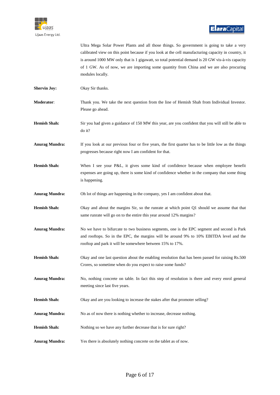

|                       | Ultra Mega Solar Power Plants and all those things. So government is going to take a very<br>calibrated view on this point because if you look at the cell manufacturing capacity in country, it<br>is around 1000 MW only that is 1 gigawatt, so total potential demand is 20 GW vis-à-vis capacity<br>of 1 GW. As of now, we are importing some quantity from China and we are also procuring<br>modules locally. |
|-----------------------|---------------------------------------------------------------------------------------------------------------------------------------------------------------------------------------------------------------------------------------------------------------------------------------------------------------------------------------------------------------------------------------------------------------------|
| <b>Shervin Joy:</b>   | Okay Sir thanks.                                                                                                                                                                                                                                                                                                                                                                                                    |
| Moderator:            | Thank you. We take the next question from the line of Hemish Shah from Individual Investor.<br>Please go ahead.                                                                                                                                                                                                                                                                                                     |
| <b>Hemish Shah:</b>   | Sir you had given a guidance of 150 MW this year, are you confident that you will still be able to<br>do it?                                                                                                                                                                                                                                                                                                        |
| <b>Anurag Mundra:</b> | If you look at our previous four or five years, the first quarter has to be little low as the things<br>progresses because right now I am confident for that.                                                                                                                                                                                                                                                       |
| <b>Hemish Shah:</b>   | When I see your P&L, it gives some kind of confidence because when employee benefit<br>expenses are going up, there is some kind of confidence whether in the company that some thing<br>is happening.                                                                                                                                                                                                              |
| <b>Anurag Mundra:</b> | Oh lot of things are happening in the company, yes I am confident about that.                                                                                                                                                                                                                                                                                                                                       |
| <b>Hemish Shah:</b>   | Okay and about the margins Sir, so the runrate at which point Q1 should we assume that that<br>same runrate will go on to the entire this year around 12% margins?                                                                                                                                                                                                                                                  |
| <b>Anurag Mundra:</b> | No we have to bifurcate to two business segments, one is the EPC segment and second is Park<br>and rooftops. So in the EPC, the margins will be around 9% to 10% EBITDA level and the<br>rooftop and park it will be somewhere between 15% to 17%.                                                                                                                                                                  |
| <b>Hemish Shah:</b>   | Okay and one last question about the enabling resolution that has been passed for raising Rs.500<br>Crores, so sometime when do you expect to raise some funds?                                                                                                                                                                                                                                                     |
| <b>Anurag Mundra:</b> | No, nothing concrete on table. In fact this step of resolution is there and every enrol general<br>meeting since last five years.                                                                                                                                                                                                                                                                                   |
| <b>Hemish Shah:</b>   | Okay and are you looking to increase the stakes after that promoter selling?                                                                                                                                                                                                                                                                                                                                        |
| <b>Anurag Mundra:</b> | No as of now there is nothing whether to increase, decrease nothing.                                                                                                                                                                                                                                                                                                                                                |
| <b>Hemish Shah:</b>   | Nothing so we have any further decrease that is for sure right?                                                                                                                                                                                                                                                                                                                                                     |
| <b>Anurag Mundra:</b> | Yes there is absolutely nothing concrete on the tablet as of now.                                                                                                                                                                                                                                                                                                                                                   |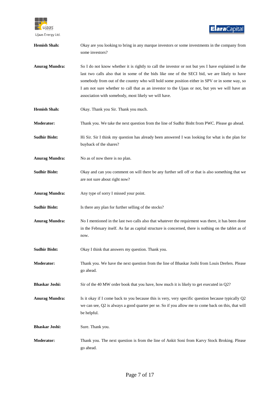

| <b>Hemish Shah:</b>   | Okay are you looking to bring in any marque investors or some investments in the company from<br>some investors?                                                                                                                                                                                                                                                                                                                                              |
|-----------------------|---------------------------------------------------------------------------------------------------------------------------------------------------------------------------------------------------------------------------------------------------------------------------------------------------------------------------------------------------------------------------------------------------------------------------------------------------------------|
| <b>Anurag Mundra:</b> | So I do not know whether it is rightly to call the investor or not but yes I have explained in the<br>last two calls also that in some of the bids like one of the SECI bid, we are likely to have<br>somebody from out of the country who will hold some position either in SPV or in some way, so<br>I am not sure whether to call that as an investor to the Ujaas or not, but yes we will have an<br>association with somebody, most likely we will have. |
| <b>Hemish Shah:</b>   | Okay. Thank you Sir. Thank you much.                                                                                                                                                                                                                                                                                                                                                                                                                          |
| Moderator:            | Thank you. We take the next question from the line of Sudhir Bisht from PWC. Please go ahead.                                                                                                                                                                                                                                                                                                                                                                 |
| <b>Sudhir Bisht:</b>  | Hi Sir. Sir I think my question has already been answered I was looking for what is the plan for<br>buyback of the shares?                                                                                                                                                                                                                                                                                                                                    |
| <b>Anurag Mundra:</b> | No as of now there is no plan.                                                                                                                                                                                                                                                                                                                                                                                                                                |
| <b>Sudhir Bisht:</b>  | Okay and can you comment on will there be any further sell off or that is also something that we<br>are not sure about right now?                                                                                                                                                                                                                                                                                                                             |
| <b>Anurag Mundra:</b> | Any type of sorry I missed your point.                                                                                                                                                                                                                                                                                                                                                                                                                        |
| <b>Sudhir Bisht:</b>  | Is there any plan for further selling of the stocks?                                                                                                                                                                                                                                                                                                                                                                                                          |
| <b>Anurag Mundra:</b> | No I mentioned in the last two calls also that whatever the requirment was there, it has been done<br>in the February itself. As far as capital structure is concerned, there is nothing on the tablet as of<br>now.                                                                                                                                                                                                                                          |
| <b>Sudhir Bisht:</b>  | Okay I think that answers my question. Thank you.                                                                                                                                                                                                                                                                                                                                                                                                             |
| <b>Moderator:</b>     | Thank you. We have the next question from the line of Bhaskar Joshi from Louis Drefers. Please<br>go ahead.                                                                                                                                                                                                                                                                                                                                                   |
| <b>Bhaskar Joshi:</b> | Sir of the 40 MW order book that you have, how much it is likely to get executed in Q2?                                                                                                                                                                                                                                                                                                                                                                       |
| <b>Anurag Mundra:</b> | Is it okay if I come back to you because this is very, very specific question because typically Q2<br>we can see, Q2 is always a good quarter per se. So if you allow me to come back on this, that will<br>be helpful.                                                                                                                                                                                                                                       |
| <b>Bhaskar Joshi:</b> | Sure. Thank you.                                                                                                                                                                                                                                                                                                                                                                                                                                              |
| <b>Moderator:</b>     | Thank you. The next question is from the line of Ankit Soni from Karvy Stock Broking. Please<br>go ahead.                                                                                                                                                                                                                                                                                                                                                     |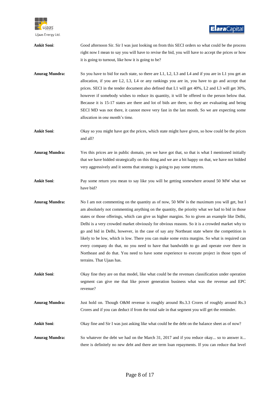

| <b>Ankit Soni:</b>    | Good afternoon Sir. Sir I was just looking on from this SECI orders so what could be the process                                                                                                                                                                                                                                                                                                                                                                                                                                                                                                                                                                                                                                                                                                                                |
|-----------------------|---------------------------------------------------------------------------------------------------------------------------------------------------------------------------------------------------------------------------------------------------------------------------------------------------------------------------------------------------------------------------------------------------------------------------------------------------------------------------------------------------------------------------------------------------------------------------------------------------------------------------------------------------------------------------------------------------------------------------------------------------------------------------------------------------------------------------------|
|                       | right now I mean to say you will have to revise the bid, you will have to accept the prices or how                                                                                                                                                                                                                                                                                                                                                                                                                                                                                                                                                                                                                                                                                                                              |
|                       | it is going to turnout, like how it is going to be?                                                                                                                                                                                                                                                                                                                                                                                                                                                                                                                                                                                                                                                                                                                                                                             |
| <b>Anurag Mundra:</b> | So you have to bid for each state, so there are L1, L2, L3 and L4 and if you are in L1 you get an<br>allocation, if you are L2, L3, L4 or any rankings you are in, you have to go and accept that<br>prices. SECI in the tender document also defined that L1 will get 40%, L2 and L3 will get 30%,<br>however if somebody wishes to reduce its quantity, it will be offered to the person below that.<br>Because it is 15-17 states are there and lot of bids are there, so they are evaluating and being<br>SECI MD was not there, it cannot move very fast in the last month. So we are expecting some<br>allocation in one month's time.                                                                                                                                                                                    |
| <b>Ankit Soni:</b>    | Okay so you might have got the prices, which state might have given, so how could be the prices<br>and all?                                                                                                                                                                                                                                                                                                                                                                                                                                                                                                                                                                                                                                                                                                                     |
| <b>Anurag Mundra:</b> | Yes this prices are in public domain, yes we have got that, so that is what I mentioned initially<br>that we have bidded strategically on this thing and we are a bit happy on that, we have not bidded<br>very aggressively and it seems that strategy is going to pay some returns.                                                                                                                                                                                                                                                                                                                                                                                                                                                                                                                                           |
| <b>Ankit Soni:</b>    | Pay some return you mean to say like you will be getting somewhere around 50 MW what we<br>have bid?                                                                                                                                                                                                                                                                                                                                                                                                                                                                                                                                                                                                                                                                                                                            |
| <b>Anurag Mundra:</b> | No I am not commenting on the quantity as of now, 50 MW is the maximum you will get, but I<br>am absolutely not commenting anything on the quantity, the priority what we had to bid in those<br>states or those offerings, which can give us higher margins. So to given an example like Delhi,<br>Delhi is a very crowded market obviously for obvious reasons. So it is a crowded market why to<br>go and bid in Delhi, however, in the case of say any Northeast state where the competition is<br>likely to be low, which is low. There you can make some extra margins. So what is required can<br>every company do that, no you need to have that bandwidth to go and operate over there in<br>Northeast and do that. You need to have some experience to execute project in those types of<br>terrains. That Ujaas has. |
| <b>Ankit Soni:</b>    | Okay fine they are on that model, like what could be the revenues classification under operation<br>segment can give me that like power generation business what was the revenue and EPC<br>revenue?                                                                                                                                                                                                                                                                                                                                                                                                                                                                                                                                                                                                                            |
| <b>Anurag Mundra:</b> | Just hold on. Though O&M revenue is roughly around Rs.3.3 Crores of roughly around Rs.3<br>Crores and if you can deduct if from the total sale in that segment you will get the reminder.                                                                                                                                                                                                                                                                                                                                                                                                                                                                                                                                                                                                                                       |
| <b>Ankit Soni:</b>    | Okay fine and Sir I was just asking like what could be the debt on the balance sheet as of now?                                                                                                                                                                                                                                                                                                                                                                                                                                                                                                                                                                                                                                                                                                                                 |
| <b>Anurag Mundra:</b> | So whatever the debt we had on the March 31, 2017 and if you reduce okay so to answer it<br>there is definitely no new debt and there are term loan repayments. If you can reduce that level                                                                                                                                                                                                                                                                                                                                                                                                                                                                                                                                                                                                                                    |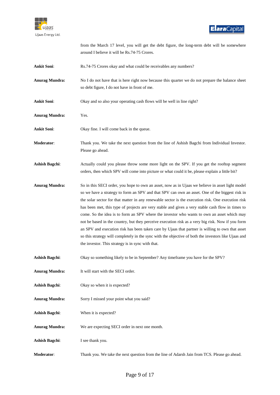

|                       | from the March 17 level, you will get the debt figure, the long-term debt will be somewhere<br>around I believe it will be Rs.74-75 Crores.                                                                                                                                                                                                                                                                                                                                                                                                                                                                                                                                                                                                                                                                                                                                       |
|-----------------------|-----------------------------------------------------------------------------------------------------------------------------------------------------------------------------------------------------------------------------------------------------------------------------------------------------------------------------------------------------------------------------------------------------------------------------------------------------------------------------------------------------------------------------------------------------------------------------------------------------------------------------------------------------------------------------------------------------------------------------------------------------------------------------------------------------------------------------------------------------------------------------------|
| <b>Ankit Soni:</b>    | Rs.74-75 Crores okay and what could be receivables any numbers?                                                                                                                                                                                                                                                                                                                                                                                                                                                                                                                                                                                                                                                                                                                                                                                                                   |
| <b>Anurag Mundra:</b> | No I do not have that is here right now because this quarter we do not prepare the balance sheet<br>so debt figure, I do not have in front of me.                                                                                                                                                                                                                                                                                                                                                                                                                                                                                                                                                                                                                                                                                                                                 |
| <b>Ankit Soni:</b>    | Okay and so also your operating cash flows will be well in line right?                                                                                                                                                                                                                                                                                                                                                                                                                                                                                                                                                                                                                                                                                                                                                                                                            |
| <b>Anurag Mundra:</b> | Yes.                                                                                                                                                                                                                                                                                                                                                                                                                                                                                                                                                                                                                                                                                                                                                                                                                                                                              |
| <b>Ankit Soni:</b>    | Okay fine. I will come back in the queue.                                                                                                                                                                                                                                                                                                                                                                                                                                                                                                                                                                                                                                                                                                                                                                                                                                         |
| Moderator:            | Thank you. We take the next question from the line of Ashish Bagchi from Individual Investor.<br>Please go ahead.                                                                                                                                                                                                                                                                                                                                                                                                                                                                                                                                                                                                                                                                                                                                                                 |
| <b>Ashish Bagchi:</b> | Actually could you please throw some more light on the SPV. If you get the rooftop segment<br>orders, then which SPV will come into picture or what could it be, please explain a little bit?                                                                                                                                                                                                                                                                                                                                                                                                                                                                                                                                                                                                                                                                                     |
| <b>Anurag Mundra:</b> | So in this SECI order, you hope to own an asset, now as in Ujaas we believe in asset light model<br>so we have a strategy to form an SPV and that SPV can own an asset. One of the biggest risk in<br>the solar sector for that matter in any renewable sector is the execution risk. One execution risk<br>has been met, this type of projects are very stable and gives a very stable cash flow in times to<br>come. So the idea is to form an SPV where the investor who wants to own an asset which may<br>not be based in the country, but they perceive execution risk as a very big risk. Now if you form<br>an SPV and execution risk has been taken care by Ujaas that partner is willing to own that asset<br>so this strategy will completely in the sync with the objective of both the investors like Ujaas and<br>the investor. This strategy is in sync with that. |
| <b>Ashish Bagchi:</b> | Okay so something likely to be in September? Any timeframe you have for the SPV?                                                                                                                                                                                                                                                                                                                                                                                                                                                                                                                                                                                                                                                                                                                                                                                                  |
| <b>Anurag Mundra:</b> | It will start with the SECI order.                                                                                                                                                                                                                                                                                                                                                                                                                                                                                                                                                                                                                                                                                                                                                                                                                                                |
| <b>Ashish Bagchi:</b> | Okay so when it is expected?                                                                                                                                                                                                                                                                                                                                                                                                                                                                                                                                                                                                                                                                                                                                                                                                                                                      |
| <b>Anurag Mundra:</b> | Sorry I missed your point what you said?                                                                                                                                                                                                                                                                                                                                                                                                                                                                                                                                                                                                                                                                                                                                                                                                                                          |
| <b>Ashish Bagchi:</b> | When it is expected?                                                                                                                                                                                                                                                                                                                                                                                                                                                                                                                                                                                                                                                                                                                                                                                                                                                              |
| <b>Anurag Mundra:</b> | We are expecting SECI order in next one month.                                                                                                                                                                                                                                                                                                                                                                                                                                                                                                                                                                                                                                                                                                                                                                                                                                    |
| <b>Ashish Bagchi:</b> | I see thank you.                                                                                                                                                                                                                                                                                                                                                                                                                                                                                                                                                                                                                                                                                                                                                                                                                                                                  |
| Moderator:            | Thank you. We take the next question from the line of Adarsh Jain from TCS. Please go ahead.                                                                                                                                                                                                                                                                                                                                                                                                                                                                                                                                                                                                                                                                                                                                                                                      |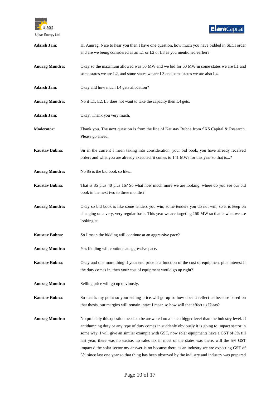

| <b>Adarsh Jain:</b>   | Hi Anurag. Nice to hear you then I have one question, how much you have bidded in SECI order<br>and are we being considered as an L1 or L2 or L3 as you mentioned earlier?                                                                                                                                                                                                                                                                                                                                                                                                                                    |
|-----------------------|---------------------------------------------------------------------------------------------------------------------------------------------------------------------------------------------------------------------------------------------------------------------------------------------------------------------------------------------------------------------------------------------------------------------------------------------------------------------------------------------------------------------------------------------------------------------------------------------------------------|
| <b>Anurag Mundra:</b> | Okay so the maximum allowed was 50 MW and we bid for 50 MW in some states we are L1 and<br>some states we are L2, and some states we are L3 and some states we are also L4.                                                                                                                                                                                                                                                                                                                                                                                                                                   |
| <b>Adarsh Jain:</b>   | Okay and how much L4 gets allocation?                                                                                                                                                                                                                                                                                                                                                                                                                                                                                                                                                                         |
| <b>Anurag Mundra:</b> | No if L1, L2, L3 does not want to take the capacity then L4 gets.                                                                                                                                                                                                                                                                                                                                                                                                                                                                                                                                             |
| <b>Adarsh Jain:</b>   | Okay. Thank you very much.                                                                                                                                                                                                                                                                                                                                                                                                                                                                                                                                                                                    |
| <b>Moderator:</b>     | Thank you. The next question is from the line of Kaustav Bubna from SKS Capital & Research.<br>Please go ahead.                                                                                                                                                                                                                                                                                                                                                                                                                                                                                               |
| <b>Kaustav Bubna:</b> | Sir in the current I mean taking into consideration, your bid book, you have already received<br>orders and what you are already executed, it comes to 141 MWs for this year so that is?                                                                                                                                                                                                                                                                                                                                                                                                                      |
| <b>Anurag Mundra:</b> | No 85 is the bid book so like                                                                                                                                                                                                                                                                                                                                                                                                                                                                                                                                                                                 |
| Kaustav Bubna:        | That is 85 plus 40 plus 16? So what how much more we are looking, where do you see our bid<br>book in the next two to three months?                                                                                                                                                                                                                                                                                                                                                                                                                                                                           |
| <b>Anurag Mundra:</b> | Okay so bid book is like some tenders you win, some tenders you do not win, so it is keep on<br>changing on a very, very regular basis. This year we are targeting 150 MW so that is what we are<br>looking at.                                                                                                                                                                                                                                                                                                                                                                                               |
| Kaustav Bubna:        | So I mean the bidding will continue at an aggressive pace?                                                                                                                                                                                                                                                                                                                                                                                                                                                                                                                                                    |
| <b>Anurag Mundra:</b> | Yes bidding will continue at aggressive pace.                                                                                                                                                                                                                                                                                                                                                                                                                                                                                                                                                                 |
| <b>Kaustav Bubna:</b> | Okay and one more thing if your end price is a function of the cost of equipment plus interest if<br>the duty comes in, then your cost of equipment would go up right?                                                                                                                                                                                                                                                                                                                                                                                                                                        |
| <b>Anurag Mundra:</b> | Selling price will go up obviously.                                                                                                                                                                                                                                                                                                                                                                                                                                                                                                                                                                           |
| Kaustav Bubna:        | So that is my point so your selling price will go up so how does it reflect us because based on<br>that thesis, our margins will remain intact I mean so how will that effect us Ujaas?                                                                                                                                                                                                                                                                                                                                                                                                                       |
| <b>Anurag Mundra:</b> | No probably this question needs to be answered on a much bigger level than the industry level. If<br>antidumping duty or any type of duty comes in suddenly obviously it is going to impact sector in<br>some way. I will give an similar example with GST, now solar equipments have a GST of 5% till<br>last year, there was no excise, no sales tax in most of the states was there, will the 5% GST<br>impact d the solar sector my answer is no because there as an industry we are expecting GST of<br>5% since last one year so that thing has been observed by the industry and industry was prepared |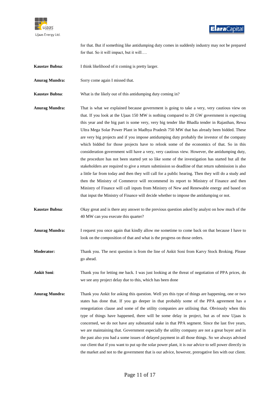

for that. But if something like antidumping duty comes in suddenly industry may not be prepared for that. So it will impact, but it will….

- **Kaustav Bubna:** I think likelihood of it coming is pretty larger.
- **Anurag Mundra:** Sorry come again I missed that.

**Kaustav Bubna**: What is the likely out of this antidumping duty coming in?

- **Anurag Mundra:** That is what we explained because government is going to take a very, very cautious view on that. If you look at the Ujaas 150 MW is nothing compared to 20 GW government is expecting this year and the big part is some very, very big tender like Bhadla tender in Rajasthan, Rewa Ultra Mega Solar Power Plant in Madhya Pradesh 750 MW that has already been bidded. These are very big projects and if you impose antidumping duty probably the investor of the company which bidded for those projects have to relook some of the economics of that. So in this consideration government will have a very, very cautious view. However, the antidumping duty, the procedure has not been started yet so like some of the investigation has started but all the stakeholders are required to give a return submission so deadline of that return submission is also a little far from today and then they will call for a public hearing. Then they will do a study and then the Ministry of Commerce will recommend its report to Ministry of Finance and then Ministry of Finance will call inputs from Ministry of New and Renewable energy and based on that input the Ministry of Finance will decide whether to impose the antidumping or not.
- **Kaustav Bubna**: Okay great and is there any answer to the previous question asked by analyst on how much of the 40 MW can you execute this quarter?
- **Anurag Mundra:** I request you once again that kindly allow me sometime to come back on that because I have to look on the composition of that and what is the progress on those orders.
- **Moderator:** Thank you. The next question is from the line of Ankit Soni from Karvy Stock Broking. Please go ahead.

**Ankit Soni**: Thank you for letting me back. I was just looking at the threat of negotiation of PPA prices, do we see any project delay due to this, which has been done

**Anurag Mundra:** Thank you Ankit for asking this question. Well yes this type of things are happening, one or two states has done that. If you go deeper in that probably some of the PPA agreement has a renegotiation clause and some of the utility companies are utilising that. Obviously when this type of things have happened, there will be some delay in project, but as of now Ujaas is concerned, we do not have any substantial stake in that PPA segment. Since the last five years, we are maintaining that. Government especially the utility company are not a great buyer and in the past also you had a some issues of delayed payment in all those things. So we always advised our client that if you want to put up the solar power plant, it is our advice to sell power directly in the market and not to the government that is our advice, however, prerogative lies with our client.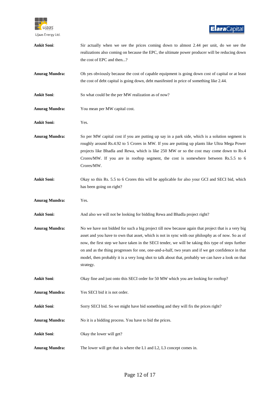

| <b>Ankit Soni:</b>    | Sir actually when we see the prices coming down to almost 2.44 per unit, do we see the<br>realizations also coming on because the EPC, the ultimate power producer will be reducing down<br>the cost of EPC and then?                                                                                                                                                                                                                                                                                                                    |
|-----------------------|------------------------------------------------------------------------------------------------------------------------------------------------------------------------------------------------------------------------------------------------------------------------------------------------------------------------------------------------------------------------------------------------------------------------------------------------------------------------------------------------------------------------------------------|
| <b>Anurag Mundra:</b> | Oh yes obviously because the cost of capable equipment is going down cost of capital or at least<br>the cost of debt capital is going down, debt manifested in price of something like 2.44.                                                                                                                                                                                                                                                                                                                                             |
| <b>Ankit Soni:</b>    | So what could be the per MW realization as of now?                                                                                                                                                                                                                                                                                                                                                                                                                                                                                       |
| <b>Anurag Mundra:</b> | You mean per MW capital cost.                                                                                                                                                                                                                                                                                                                                                                                                                                                                                                            |
| <b>Ankit Soni:</b>    | Yes.                                                                                                                                                                                                                                                                                                                                                                                                                                                                                                                                     |
| <b>Anurag Mundra:</b> | So per MW capital cost if you are putting up say in a park side, which is a solution segment is<br>roughly around Rs.4.92 to 5 Crores in MW. If you are putting up plants like Ultra Mega Power<br>projects like Bhadla and Rewa, which is like 250 MW or so the cost may come down to Rs.4<br>Crores/MW. If you are in rooftop segment, the cost is somewhere between Rs.5.5 to 6<br>Crores/MW.                                                                                                                                         |
| <b>Ankit Soni:</b>    | Okay so this Rs. 5.5 to 6 Crores this will be applicable for also your GCI and SECI bid, which<br>has been going on right?                                                                                                                                                                                                                                                                                                                                                                                                               |
| <b>Anurag Mundra:</b> | Yes.                                                                                                                                                                                                                                                                                                                                                                                                                                                                                                                                     |
| <b>Ankit Soni:</b>    | And also we will not be looking for bidding Rewa and Bhadla project right?                                                                                                                                                                                                                                                                                                                                                                                                                                                               |
| <b>Anurag Mundra:</b> | No we have not bidded for such a big project till now because again that project that is a very big<br>asset and you have to own that asset, which is not in sync with our philosphy as of now. So as of<br>now, the first step we have taken in the SECI tender, we will be taking this type of steps further<br>on and as the thing progresses for one, one-and-a-half, two years and if we get confidence in that<br>model, then probably it is a very long shot to talk about that, probably we can have a look on that<br>strategy. |
| <b>Ankit Soni:</b>    | Okay fine and just onto this SECI order for 50 MW which you are looking for rooftop?                                                                                                                                                                                                                                                                                                                                                                                                                                                     |
| <b>Anurag Mundra:</b> | Yes SECI bid it is not order.                                                                                                                                                                                                                                                                                                                                                                                                                                                                                                            |
| <b>Ankit Soni:</b>    | Sorry SECI bid. So we might have bid something and they will fix the prices right?                                                                                                                                                                                                                                                                                                                                                                                                                                                       |
| <b>Anurag Mundra:</b> | No it is a bidding process. You have to bid the prices.                                                                                                                                                                                                                                                                                                                                                                                                                                                                                  |
| <b>Ankit Soni:</b>    | Okay the lower will get?                                                                                                                                                                                                                                                                                                                                                                                                                                                                                                                 |
| <b>Anurag Mundra:</b> | The lower will get that is where the L1 and L2, L3 concept comes in.                                                                                                                                                                                                                                                                                                                                                                                                                                                                     |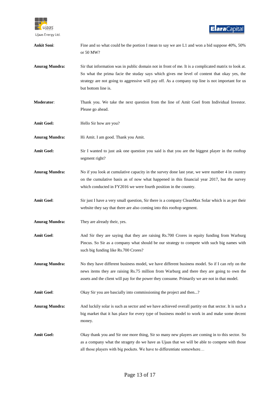

| <b>Ankit Soni:</b>    | Fine and so what could be the portion I mean to say we are L1 and won a bid suppose 40%, 50%<br>or 50 MW?                                                                                                                                                                                                                     |
|-----------------------|-------------------------------------------------------------------------------------------------------------------------------------------------------------------------------------------------------------------------------------------------------------------------------------------------------------------------------|
| <b>Anurag Mundra:</b> | Sir that information was in public domain not in front of me. It is a complicated matrix to look at.<br>So what the prima facie the studay says which gives me level of content that okay yes, the<br>strategy are not going to aggressive will pay off. As a company top line is not important for us<br>but bottom line is. |
| Moderator:            | Thank you. We take the next question from the line of Amit Goel from Individual Investor.<br>Please go ahead.                                                                                                                                                                                                                 |
| <b>Amit Goel:</b>     | Hello Sir how are you?                                                                                                                                                                                                                                                                                                        |
| <b>Anurag Mundra:</b> | Hi Amit. I am good. Thank you Amit.                                                                                                                                                                                                                                                                                           |
| <b>Amit Goel:</b>     | Sir I wanted to just ask one question you said is that you are the biggest player in the rooftop<br>segment right?                                                                                                                                                                                                            |
| <b>Anurag Mundra:</b> | No if you look at cumulative capacity in the survey done last year, we were number 4 in country<br>on the cumulative basis as of now what happened in this financial year 2017, but the survey<br>which conducted in FY2016 we were fourth position in the country.                                                           |
| <b>Amit Goel:</b>     | Sir just I have a very small question, Sir there is a company CleanMax Solar which is as per their<br>website they say that there are also coming into this rooftop segment.                                                                                                                                                  |
| <b>Anurag Mundra:</b> | They are already their, yes.                                                                                                                                                                                                                                                                                                  |
| <b>Amit Goel:</b>     | And Sir they are saying that they are raising Rs.700 Crores in equity funding from Warburg<br>Pincus. So Sir as a company what should be our strategy to compete with such big names with<br>such big funding like Rs.700 Crores?                                                                                             |
| <b>Anurag Mundra:</b> | No they have different business model, we have different business model. So if I can rely on the<br>news items they are raising Rs.75 million from Warburg and there they are going to own the<br>assets and the client will pay for the power they consume. Primarily we are not in that model.                              |
| <b>Amit Goel:</b>     | Okay Sir you are bascially into commissioning the project and then?                                                                                                                                                                                                                                                           |
| <b>Anurag Mundra:</b> | And luckily solar is such as sector and we have achieved overall partity on that sector. It is such a<br>big market that it has place for every type of business model to work in and make some decent<br>money.                                                                                                              |
| <b>Amit Goel:</b>     | Okay thank you and Sir one more thing, Sir so many new players are coming in to this sector. So<br>as a company what the stragety do we have as Ujaas that we will be able to compete with those<br>all those players with big pockets. We have to differentiate somewhere                                                    |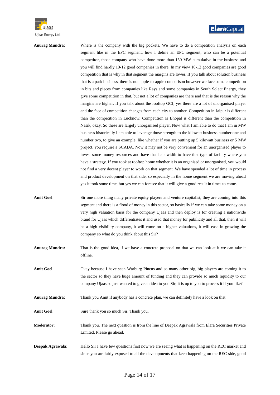

**Anurag Mundra:** Where is the company with the big pockets. We have to do a competition analysis on each segment like in the EPC segment, how I define an EPC segment, who can be a potential competitor, those company who have done more than 150 MW cumulative in the business and you will find hardly 10-12 good companies in there. In my view 10-12 good companies are good competition that is why in that segment the margins are lower. If you talk about solution business that is a park business, there is not apple-to-apple comparison however we face some competition in bits and pieces from companies like Rays and some companies in South Solect Energy, they give some competition in that, but not a lot of companies are there and that is the reason why the margins are higher. If you talk about the rooftop GCI, yes there are a lot of unorganised player and the face of competition changes from each city to another. Competition in Jaipur is different than the competition in Lucknow. Competition is Bhopal is different than the competition in Nasik, okay. So these are largely unorganised player. Now what I am able to do that I am in MW business historically I am able to leverage those strength to the kilowatt business number one and number two, to give an example, like whether if you are putting up 5 kilowatt business or 5 MW project, you require a SCADA. Now it may not be very convenient for an unorganised player to invest some money resources and have that bandwidth to have that type of facility where you have a strategy. If you took at rooftop home whether it is an organised or unorganised, you would not find a very decent player to work on that segment. We have spended a lot of time in process and product development on that side, so especially in the home segment we are moving ahead yes it took some time, but yes we can foresee that it will give a good result in times to come.

Amit Goel: Sir one more thing many private equity players and venture capitalist, they are coming into this segment and there is a flood of money in this sector, so basically if we can take some money on a very high valuation basis for the company Ujaas and then deploy is for creating a nationwide brand for Ujaas which differentiates it and used that money for pubilicity and all that, then it will be a high visibility company, it will come on a higher valuations, it will ease in growing the company so what do you think about this Sir?

**Anurag Mundra:** That is the good idea, if we have a concrete proposal on that we can look at it we can take it offline.

**Amit Goel**: Okay because I have seen Warburg Pincus and so many other big, big players are coming it to the sector so they have huge amount of funding and they can provide so much liquidity to our company Ujaas so just wanted to give an idea to you Sir, it is up to you to process it if you like?

**Anurag Mundra:** Thank you Amit if anybody has a concrete plan, we can definitely have a look on that.

Amit Goel: Sure thank you so much Sir. Thank you.

**Moderator:** Thank you. The next question is from the line of Deepak Agrawala from Elara Securities Private Limited. Please go ahead.

**Deepak Agrawala:** Hello Sir I have few questions first now we are seeing what is happening on the REC market and since you are fairly exposed to all the developments that keep happening on the REC side, good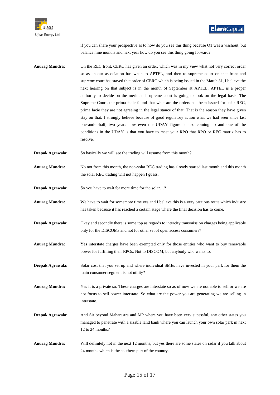

if you can share your prospective as to how do you see this thing because Q1 was a washout, but balance nine months and next year how do you see this thing going forward?

- **Anurag Mundra:** On the REC front, CERC has given an order, which was in my view what not very correct order so as an our association has when to APTEL, and then to supreme court on that front and supreme court has stayed that order of CERC which is being issued in the March 31, I believe the next hearing on that subject is in the month of September at APTEL, APTEL is a proper authority to decide on the merit and supreme court is going to look on the legal basis. The Supreme Court, the prima facie found that what are the orders has been issued for solar REC, prima facie they are not agreeing in the legal stance of that. That is the reason they have given stay on that. I strongly believe because of good regulatory action what we had seen since last one-and-a-half, two years now even the UDAY figure is also coming up and one of the conditions in the UDAY is that you have to meet your RPO that RPO or REC matrix has to resolve.
- **Deepak Agrawala:** So basically we will see the trading will resume from this month?
- **Anurag Mundra:** No not from this month, the non-solar REC trading has already started last month and this month the solar REC trading will not happen I guess.
- **Deepak Agrawala:** So you have to wait for more time for the solar...?
- **Anurag Mundra:** We have to wait for somemore time yes and I believe this is a very cautious route which industry has taken because it has reached a certain stage where the final decision has to come.
- **Deepak Agrawala:** Okay and secondly there is some top as regards to intercity transmission charges being applicable only for the DISCOMs and not for other set of open access consumers?
- **Anurag Mundra:** Yes interstate charges have been exempted only for those entities who want to buy renewable power for fulfilling their RPOs. Not to DISCOM, but anybody who wants to.
- **Deepak Agrawala:** Solar cost that you set up and where individual SMEs have invested in your park for them the main consumer segment is not utility?
- **Anurag Mundra:** Yes it is a private so. These charges are interstate so as of now we are not able to sell or we are not focus to sell power interstate. So what are the power you are generating we are selling in intrastate.
- **Deepak Agrawala:** And Sir beyond Maharastra and MP where you have been very sucessful, any other states you managed to penetrate with a sizable land bank where you can launch your own solar park in next 12 to 24 months?
- **Anurag Mundra:** Will definitely not in the next 12 months, but yes there are some states on radar if you talk about 24 months which is the southern part of the country.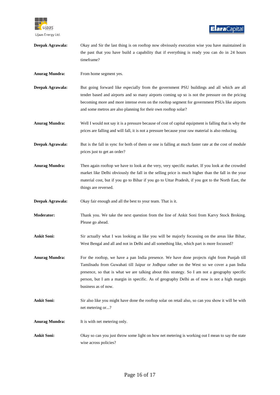

| Deepak Agrawala:      | Okay and Sir the last thing is on rooftop now obviously execution wise you have maintained in<br>the past that you have build a capability that if everything is ready you can do in 24 hours<br>timeframe?                                                                                                                                                                                                      |
|-----------------------|------------------------------------------------------------------------------------------------------------------------------------------------------------------------------------------------------------------------------------------------------------------------------------------------------------------------------------------------------------------------------------------------------------------|
| <b>Anurag Mundra:</b> | From home segment yes.                                                                                                                                                                                                                                                                                                                                                                                           |
| Deepak Agrawala:      | But going forward like especially from the government PSU buildings and all which are all<br>tender based and airports and so many airports coming up so is not the pressure on the pricing<br>becoming more and more intense even on the rooftop segment for government PSUs like airports<br>and some metros are also planning for their own rooftop solar?                                                    |
| <b>Anurag Mundra:</b> | Well I would not say it is a pressure because of cost of capital equipment is falling that is why the<br>prices are falling and will fall, it is not a pressure because your raw material is also reducing.                                                                                                                                                                                                      |
| Deepak Agrawala:      | But is the fall in sync for both of them or one is falling at much faster rate at the cost of module<br>prices just to get an order?                                                                                                                                                                                                                                                                             |
| <b>Anurag Mundra:</b> | Then again rooftop we have to look at the very, very specific market. If you look at the crowded<br>market like Delhi obviously the fall in the selling price is much higher than the fall in the your<br>material cost, but if you go to Bihar if you go to Uttar Pradesh, if you got to the North East, the<br>things are reversed.                                                                            |
| Deepak Agrawala:      | Okay fair enough and all the best to your team. That is it.                                                                                                                                                                                                                                                                                                                                                      |
| Moderator:            | Thank you. We take the next question from the line of Ankit Soni from Karvy Stock Broking.<br>Please go ahead.                                                                                                                                                                                                                                                                                                   |
| <b>Ankit Soni:</b>    | Sir actually what I was looking as like you will be majorly focussing on the areas like Bihar,<br>West Bengal and all and not in Delhi and all something like, which part is more focussed?                                                                                                                                                                                                                      |
| <b>Anurag Mundra:</b> | For the rooftop, we have a pan India presence. We have done projects right from Punjab till<br>Tamilnadu from Guwahati till Jaipur or Jodhpur rather on the West so we cover a pan India<br>presence, so that is what we are talking about this strategy. So I am not a geography specific<br>person, but I am a margin in specific. As of geography Delhi as of now is not a high margin<br>business as of now. |
| <b>Ankit Soni:</b>    | Sir also like you might have done the rooftop solar on retail also, so can you show it will be with<br>net metering or?                                                                                                                                                                                                                                                                                          |
| <b>Anurag Mundra:</b> | It is with net metering only.                                                                                                                                                                                                                                                                                                                                                                                    |
| <b>Ankit Soni:</b>    | Okay so can you just throw some light on how net metering is working out I mean to say the state<br>wise across policies?                                                                                                                                                                                                                                                                                        |